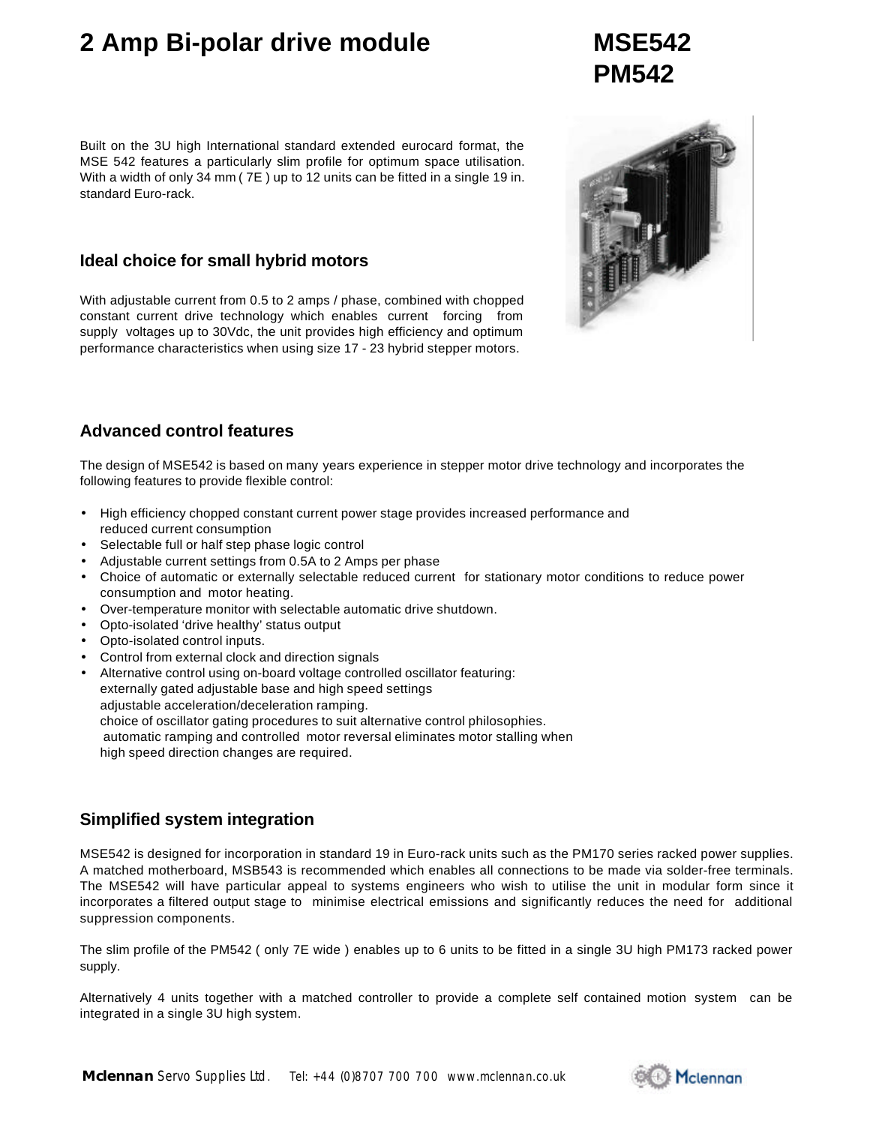## **2 Amp Bi-polar drive module MSE542**

#### Built on the 3U high International standard extended eurocard format, the MSE 542 features a particularly slim profile for optimum space utilisation. With a width of only 34 mm ( 7E ) up to 12 units can be fitted in a single 19 in. standard Euro-rack.

#### **Ideal choice for small hybrid motors**

With adjustable current from 0.5 to 2 amps / phase, combined with chopped constant current drive technology which enables current forcing from supply voltages up to 30Vdc, the unit provides high efficiency and optimum performance characteristics when using size 17 - 23 hybrid stepper motors.



#### **Advanced control features**

The design of MSE542 is based on many years experience in stepper motor drive technology and incorporates the following features to provide flexible control:

- High efficiency chopped constant current power stage provides increased performance and reduced current consumption
- Selectable full or half step phase logic control
- Adjustable current settings from 0.5A to 2 Amps per phase
- Choice of automatic or externally selectable reduced current for stationary motor conditions to reduce power consumption and motor heating.
- Over-temperature monitor with selectable automatic drive shutdown.
- Opto-isolated 'drive healthy' status output
- Opto-isolated control inputs.
- Control from external clock and direction signals
- Alternative control using on-board voltage controlled oscillator featuring: externally gated adjustable base and high speed settings adjustable acceleration/deceleration ramping. choice of oscillator gating procedures to suit alternative control philosophies. automatic ramping and controlled motor reversal eliminates motor stalling when high speed direction changes are required.

### **Simplified system integration**

MSE542 is designed for incorporation in standard 19 in Euro-rack units such as the PM170 series racked power supplies. A matched motherboard, MSB543 is recommended which enables all connections to be made via solder-free terminals. The MSE542 will have particular appeal to systems engineers who wish to utilise the unit in modular form since it incorporates a filtered output stage to minimise electrical emissions and significantly reduces the need for additional suppression components.

The slim profile of the PM542 ( only 7E wide ) enables up to 6 units to be fitted in a single 3U high PM173 racked power supply.

Alternatively 4 units together with a matched controller to provide a complete self contained motion system can be integrated in a single 3U high system.



# **PM542**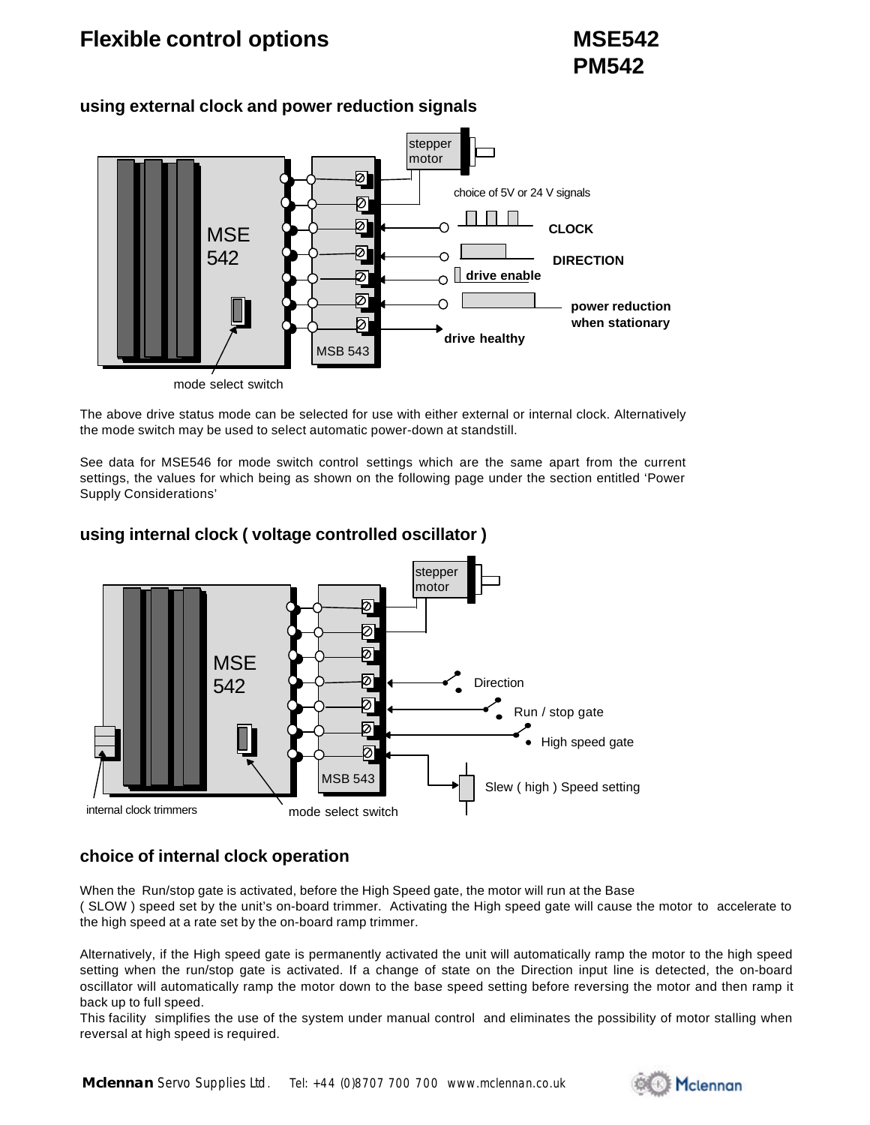## **Flexible control options MSE542**



#### **using external clock and power reduction signals**

mode select switch

The above drive status mode can be selected for use with either external or internal clock. Alternatively the mode switch may be used to select automatic power-down at standstill.

See data for MSE546 for mode switch control settings which are the same apart from the current settings, the values for which being as shown on the following page under the section entitled 'Power Supply Considerations'



#### **using internal clock ( voltage controlled oscillator )**

### **choice of internal clock operation**

When the Run/stop gate is activated, before the High Speed gate, the motor will run at the Base ( SLOW ) speed set by the unit's on-board trimmer. Activating the High speed gate will cause the motor to accelerate to the high speed at a rate set by the on-board ramp trimmer.

Alternatively, if the High speed gate is permanently activated the unit will automatically ramp the motor to the high speed setting when the run/stop gate is activated. If a change of state on the Direction input line is detected, the on-board oscillator will automatically ramp the motor down to the base speed setting before reversing the motor and then ramp it back up to full speed.

This facility simplifies the use of the system under manual control and eliminates the possibility of motor stalling when reversal at high speed is required.

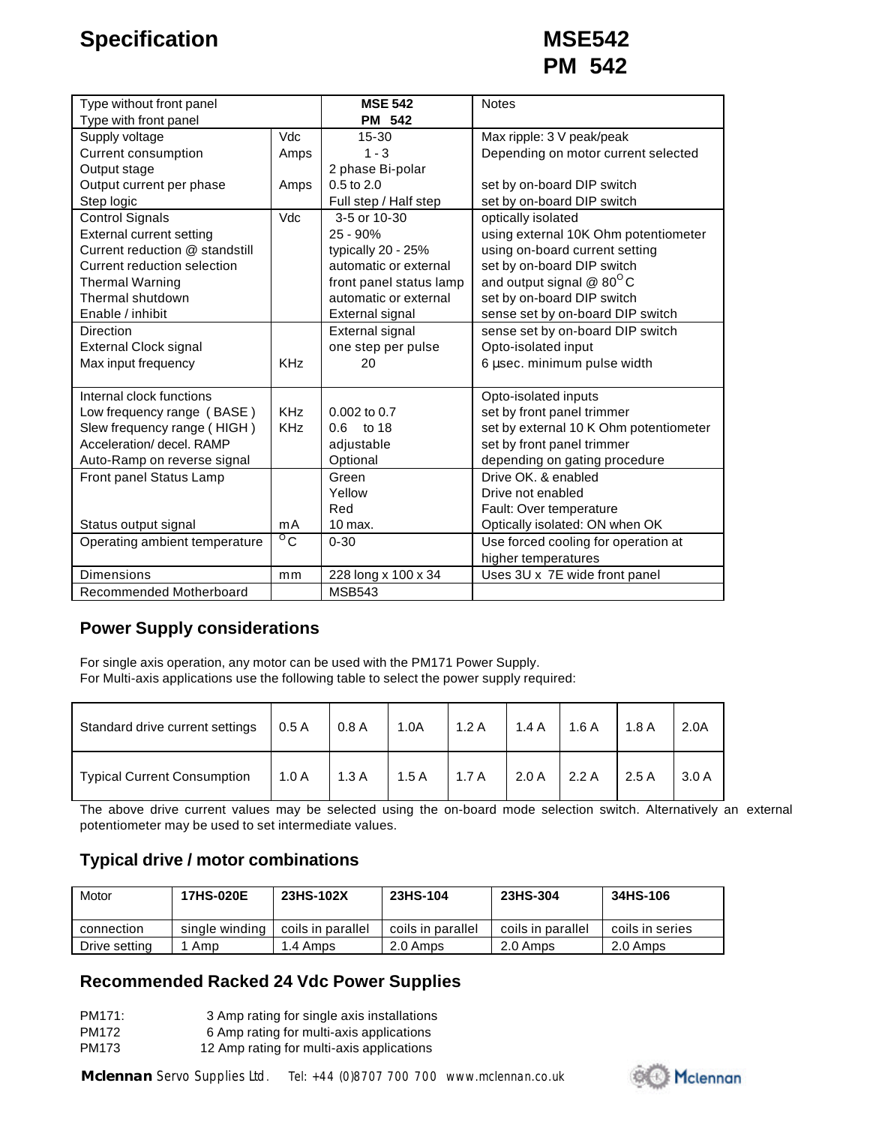| Type without front panel        |                 | <b>MSE 542</b>          | <b>Notes</b>                            |  |  |
|---------------------------------|-----------------|-------------------------|-----------------------------------------|--|--|
| Type with front panel           |                 | <b>PM 542</b>           |                                         |  |  |
| Supply voltage                  | Vdc             | $15 - 30$               | Max ripple: 3 V peak/peak               |  |  |
| <b>Current consumption</b>      | Amps            | $1 - 3$                 | Depending on motor current selected     |  |  |
| Output stage                    |                 | 2 phase Bi-polar        |                                         |  |  |
| Output current per phase        | Amps            | 0.5 to 2.0              | set by on-board DIP switch              |  |  |
| Step logic                      |                 | Full step / Half step   | set by on-board DIP switch              |  |  |
| <b>Control Signals</b>          | Vdc             | 3-5 or 10-30            | optically isolated                      |  |  |
| <b>External current setting</b> |                 | $25 - 90%$              | using external 10K Ohm potentiometer    |  |  |
| Current reduction @ standstill  |                 | typically 20 - 25%      | using on-board current setting          |  |  |
| Current reduction selection     |                 | automatic or external   | set by on-board DIP switch              |  |  |
| <b>Thermal Warning</b>          |                 | front panel status lamp | and output signal $@$ 80 <sup>°</sup> C |  |  |
| Thermal shutdown                |                 | automatic or external   | set by on-board DIP switch              |  |  |
| Enable / inhibit                |                 | External signal         | sense set by on-board DIP switch        |  |  |
| Direction                       |                 | External signal         | sense set by on-board DIP switch        |  |  |
| <b>External Clock signal</b>    |                 | one step per pulse      | Opto-isolated input                     |  |  |
| Max input frequency             | <b>KHz</b>      | 20                      | 6 µsec. minimum pulse width             |  |  |
|                                 |                 |                         |                                         |  |  |
| Internal clock functions        |                 |                         | Opto-isolated inputs                    |  |  |
| Low frequency range (BASE)      | KH <sub>7</sub> | $0.002$ to $0.7$        | set by front panel trimmer              |  |  |
| Slew frequency range (HIGH)     | <b>KHz</b>      | to 18<br>$0.6^{\circ}$  | set by external 10 K Ohm potentiometer  |  |  |
| Acceleration/ decel, RAMP       |                 | adjustable              | set by front panel trimmer              |  |  |
| Auto-Ramp on reverse signal     |                 | Optional                | depending on gating procedure           |  |  |
| Front panel Status Lamp         |                 | Green                   | Drive OK, & enabled                     |  |  |
|                                 |                 | Yellow                  | Drive not enabled                       |  |  |
|                                 |                 | Red                     | Fault: Over temperature                 |  |  |
| Status output signal            | mA              | $10$ max.               | Optically isolated: ON when OK          |  |  |
| Operating ambient temperature   | $^{\circ}$ C    | $0 - 30$                | Use forced cooling for operation at     |  |  |
|                                 |                 |                         | higher temperatures                     |  |  |
| <b>Dimensions</b>               | mm              | 228 long x 100 x 34     | Uses 3U x 7E wide front panel           |  |  |
| Recommended Motherboard         |                 | <b>MSB543</b>           |                                         |  |  |

### **Power Supply considerations**

For single axis operation, any motor can be used with the PM171 Power Supply. For Multi-axis applications use the following table to select the power supply required:

| Standard drive current settings   0.5 A | 0.8A | 1.0A                                  | 1.2 A   1.4 A   1.6 A |       | 1.8A           | 2.0A  |
|-----------------------------------------|------|---------------------------------------|-----------------------|-------|----------------|-------|
| <b>Typical Current Consumption</b>      |      | 1.0 A   1.3 A   1.5 A   1.7 A   2.0 A |                       | 2.2 A | $\sqrt{2.5}$ A | 3.0 A |

The above drive current values may be selected using the on-board mode selection switch. Alternatively an external potentiometer may be used to set intermediate values.

### **Typical drive / motor combinations**

| Motor         | <b>17HS-020E</b> | 23HS-102X         | 23HS-104          | 23HS-304          | 34HS-106        |
|---------------|------------------|-------------------|-------------------|-------------------|-----------------|
| connection    | single winding   | coils in parallel | coils in parallel | coils in parallel | coils in series |
| Drive setting | Amp              | 1.4 Amps          | 2.0 Amps          | 2.0 Amps          | 2.0 Amps        |

### **Recommended Racked 24 Vdc Power Supplies**

PM171: 3 Amp rating for single axis installations PM172 6 Amp rating for multi-axis applications PM173 12 Amp rating for multi-axis applications